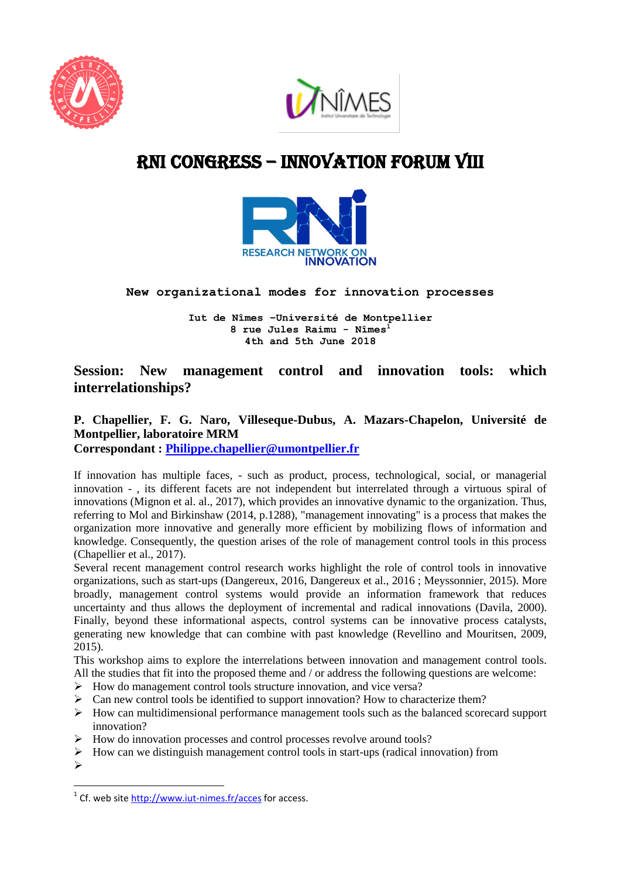



# RNI cONGRESS – innovation Forum VIII



### **New organizational modes for innovation processes**

**Iut de Nîmes –Université de Montpellier 8 rue Jules Raimu - Nîmes<sup>1</sup> 4th and 5th June 2018**

### **Session: New management control and innovation tools: which interrelationships?**

## **P. Chapellier, F. G. Naro, Villeseque-Dubus, A. Mazars-Chapelon, Université de Montpellier, laboratoire MRM**

**Correspondant : [Philippe.chapellier@umontpellier.fr](mailto:Philippe.chapellier@umontpellier.fr)**

If innovation has multiple faces, - such as product, process, technological, social, or managerial innovation - , its different facets are not independent but interrelated through a virtuous spiral of innovations (Mignon et al. al., 2017), which provides an innovative dynamic to the organization. Thus, referring to Mol and Birkinshaw (2014, p.1288), "management innovating" is a process that makes the organization more innovative and generally more efficient by mobilizing flows of information and knowledge. Consequently, the question arises of the role of management control tools in this process (Chapellier et al., 2017).

Several recent management control research works highlight the role of control tools in innovative organizations, such as start-ups (Dangereux, 2016, Dangereux et al., 2016 ; Meyssonnier, 2015). More broadly, management control systems would provide an information framework that reduces uncertainty and thus allows the deployment of incremental and radical innovations (Davila, 2000). Finally, beyond these informational aspects, control systems can be innovative process catalysts, generating new knowledge that can combine with past knowledge (Revellino and Mouritsen, 2009, 2015).

This workshop aims to explore the interrelations between innovation and management control tools. All the studies that fit into the proposed theme and / or address the following questions are welcome:

- $\triangleright$  How do management control tools structure innovation, and vice versa?
- $\triangleright$  Can new control tools be identified to support innovation? How to characterize them?
- $\triangleright$  How can multidimensional performance management tools such as the balanced scorecard support innovation?
- $\triangleright$  How do innovation processes and control processes revolve around tools?
- $\triangleright$  How can we distinguish management control tools in start-ups (radical innovation) from
- $\triangleright$

**.** 

<sup>&</sup>lt;sup>1</sup> Cf. web site<http://www.iut-nimes.fr/acces> for access.